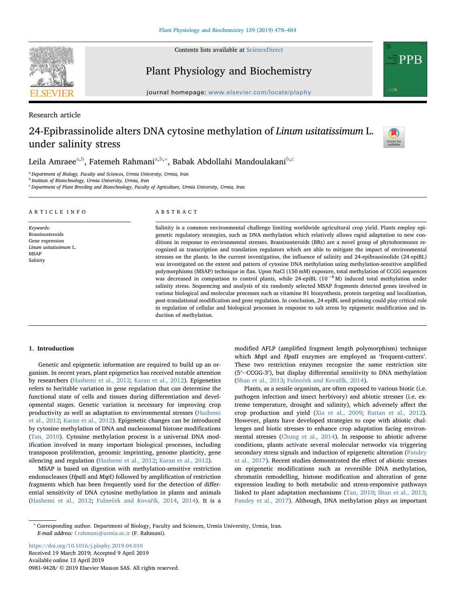

Contents lists available at [ScienceDirect](http://www.sciencedirect.com/science/journal/09819428)

Plant Physiology and Biochemistry



Research article

# 24-Epibrassinolide alters DNA cytosine methylation of Linum usitatissimum L. under salinity stress



PPR

Leila Amraee<sup>[a,](#page-0-0)[b](#page-0-1)</sup>, F[a](#page-0-0)temeh Rahmani<sup>a[,b,](#page-0-1)</sup>\*, Babak Abdollahi Mandoulakani<sup>b,[c](#page-0-3)</sup>

<span id="page-0-0"></span><sup>a</sup> Department of Biology, Faculty and Sciences, Urmia University, Urmia, Iran

<span id="page-0-1"></span><sup>b</sup> Institute of Biotechnology, Urmia University, Urmia, Iran

<span id="page-0-3"></span> $c$  Department of Plant Breeding and Biotechnology, Faculty of Agriculture, Urmia University, Urmia, Iran

| ARTICLE INFO                                                                                                 | ABSTRACT                                                                                                                                                                                                                                                                                                                                                                                                                                                                                                                                                                                                                                                                                                                                                                                                                                                                                                                                                                                                                                                                                                                                                                                                                                                                          |
|--------------------------------------------------------------------------------------------------------------|-----------------------------------------------------------------------------------------------------------------------------------------------------------------------------------------------------------------------------------------------------------------------------------------------------------------------------------------------------------------------------------------------------------------------------------------------------------------------------------------------------------------------------------------------------------------------------------------------------------------------------------------------------------------------------------------------------------------------------------------------------------------------------------------------------------------------------------------------------------------------------------------------------------------------------------------------------------------------------------------------------------------------------------------------------------------------------------------------------------------------------------------------------------------------------------------------------------------------------------------------------------------------------------|
| Keywords:<br><b>Brassinosteroids</b><br>Gene expression<br>Linum usitatissimum L.<br><b>MSAP</b><br>Salinity | Salinity is a common environmental challenge limiting worldwide agricultural crop yield. Plants employ epi-<br>genetic regulatory strategies, such as DNA methylation which relatively allows rapid adaptation to new con-<br>ditions in response to environmental stresses. Brassinosteroids (BRs) are a novel group of phytohormones re-<br>cognized as transcription and translation regulators which are able to mitigate the impact of environmental<br>stresses on the plants. In the current investigation, the influence of salinity and 24-epibrassinolide (24-epiBL)<br>was investigated on the extent and pattern of cytosine DNA methylation using methylation-sensitive amplified<br>polymorphisms (MSAP) technique in flax. Upon NaCl (150 mM) exposure, total methylation of CCGG sequences<br>was decreased in comparison to control plants, while 24-epiBL $(10^{-8}$ M) induced total methylation under<br>salinity stress. Sequencing and analysis of six randomly selected MSAP fragments detected genes involved in<br>various biological and molecular processes such as vitamine B1 biosynthesis, protein targeting and localization,<br>nost-translational modification and gene requision. In conclusion, 24-enjBL seed priming could play critical role |

odification and gene regulation. In conclusion, 24-epiBL seed priming could play critical role in regulation of cellular and biological processes in response to salt stress by epigenetic modification and induction of methylation.

# 1. Introduction

Genetic and epigenetic information are required to build up an organism. In recent years, plant epigenetics has received notable attention by researchers ([Hashemi et al., 2012](#page-5-0); [Karan et al., 2012](#page-5-1)). Epigenetics refers to heritable variation in gene regulation that can determine the functional state of cells and tissues during differentiation and developmental stages. Genetic variation is necessary for improving crop productivity as well as adaptation to environmental stresses ([Hashemi](#page-5-0) [et al., 2012](#page-5-0); [Karan et al., 2012\)](#page-5-1). Epigenetic changes can be introduced by cytosine methylation of DNA and nucleosomal histone modifications ([Tan, 2010\)](#page-5-2). Cytosine methylation process is a universal DNA modification involved in many important biological processes, including transposon proliferation, genomic imprinting, genome plasticity, gene silencing and regulation ([Hashemi et al., 2012](#page-5-0); [Karan et al., 2012](#page-5-1)).

MSAP is based on digestion with methylation-sensitive restriction endonucleases (HpaII and MspI) followed by amplification of restriction fragments which has been frequently used for the detection of differential sensitivity of DNA cytosine methylation in plants and animals ([Hashemi et al., 2012;](#page-5-0) Fulneč[ek and Kova](#page-5-3)řík, 2014, [2014\)](#page-5-3). It is a

modified AFLP (amplified fragment length polymorphism) technique which MspI and HpaII enzymes are employed as 'frequent-cutters'. These two restriction enzymes recognize the same restriction site (5′-CCGG-3′), but display differential sensitivity to DNA methylation ([Shan et al., 2013](#page-5-4); Fulneč[ek and Kova](#page-5-3)řík, 2014).

Plants, as a sessile organism, are often exposed to various biotic (i.e. pathogen infection and insect herbivory) and abiotic stresses (i.e. extreme temperature, drought and salinity), which adversely affect the crop production and yield ([Xia et al., 2009](#page-6-0); [Rattan et al., 2012](#page-5-5)). However, plants have developed strategies to cope with abiotic challenges and biotic stresses to enhance crop adaptation facing environmental stresses (Chung [et al., 2014\)](#page-5-6). In response to abiotic adverse conditions, plants activate several molecular networks via triggering secondary stress signals and induction of epigenetic alteration ([Pandey](#page-5-7) [et al., 2017](#page-5-7)). Recent studies demonstrated the effect of abiotic stresses on epigenetic modifications such as reversible DNA methylation, chromatin remodelling, histone modification and alteration of gene expression leading to both metabolic and stress-responsive pathways linked to plant adaptation mechanisms [\(Tan, 2010;](#page-5-2) [Shan et al., 2013](#page-5-4); [Pandey et al., 2017](#page-5-7)). Although, DNA methylation plays an important

<span id="page-0-2"></span><sup>∗</sup> Corresponding author. Department of Biology, Faculty and Sciences, Urmia University, Urmia, Iran. E-mail address: [f.rahmani@urmia.ac.ir](mailto:f.rahmani@urmia.ac.ir) (F. Rahmani).

<https://doi.org/10.1016/j.plaphy.2019.04.010> Received 19 March 2019; Accepted 9 April 2019 Available online 13 April 2019 0981-9428/ © 2019 Elsevier Masson SAS. All rights reserved.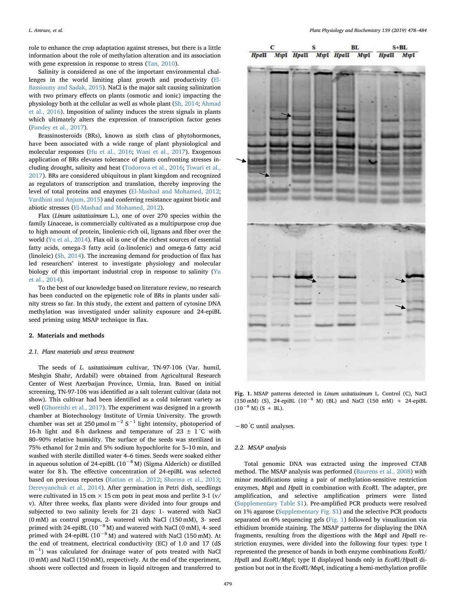role to enhance the crop adaptation against stresses, but there is a little information about the role of methylation alteration and its association with gene expression in response to stress ([Tan, 2010\)](#page-5-2).

Salinity is considered as one of the important environmental challenges in the world limiting plant growth and productivity [\(El-](#page-5-8)[Bassiouny and Sadak, 2015\)](#page-5-8). NaCl is the major salt causing salinization with two primary effects on plants (osmotic and ionic) impacting the physiology both at the cellular as well as whole plant [\(Sh, 2014](#page-5-9); [Ahmad](#page-5-10) [et al., 2016](#page-5-10)). Imposition of salinty induces the stress signals in plants which ultimately alters the expression of transcription factor genes ([Pandey et al., 2017\)](#page-5-7).

Brassinosteroids (BRs), known as sixth class of phytohormones, have been associated with a wide range of plant physiological and molecular responses [\(Hu et al., 2016;](#page-5-11) [Wani et al., 2017](#page-6-1)). Exogenous application of BRs elevates tolerance of plants confronting stresses including drought, salinity and heat ([Todorova et al., 2016;](#page-6-2) [Tiwari et al.,](#page-5-12) [2017\)](#page-5-12). BRs are considered ubiquitous in plant kingdom and recognized as regulators of transcription and translation, thereby improving the level of total proteins and enzymes ([El-Mashad and Mohamed, 2012](#page-5-13); [Vardhini and Anjum, 2015](#page-6-3)) and conferring resistance against biotic and abiotic stresses [\(El-Mashad and Mohamed, 2012\)](#page-5-13).

Flax (Linum usitatissimum L.), one of over 270 species within the family Linaceae, is commercially cultivated as a multipurpose crop due to high amount of protein, linolenic-rich oil, lignans and fiber over the world [\(Yu et al., 2014\)](#page-6-4). Flax oil is one of the richest sources of essential fatty acids, omega-3 fatty acid (α-linolenic) and omega-6 fatty acid (linoleic) ([Sh, 2014](#page-5-9)). The increasing demand for production of flax has led researchers' interest to investigate physiology and molecular biology of this important industrial crop in response to salinity [\(Yu](#page-6-4) [et al., 2014](#page-6-4)).

To the best of our knowledge based on literature review, no research has been conducted on the epigenetic role of BRs in plants under salinity stress so far. In this study, the extent and pattern of cytosine DNA methylation was investigated under salinity exposure and 24-epiBL seed priming using MSAP technique in flax.

#### 2. Materials and methods

#### 2.1. Plant materials and stress treatment

The seeds of L. usitatissimum cultivar, TN-97-106 (Var. humil, Meshgin Shahr, Ardabil) were obtained from Agricultural Research Center of West Azerbaijan Province, Urmia, Iran. Based on initial screening, TN-97-106 was identified as a salt tolerant cultivar (data not show). This cultivar had been identified as a cold tolerant variety as well ([Ghoreishi et al., 2017\)](#page-5-14). The experiment was designed in a growth chamber at Biotechnology Institute of Urmia University. The growth chamber was set at 250 µmol m<sup>-2</sup> S<sup>-1</sup> light intensity, photoperiod of 16-h light and 8-h darkness and temperature of 23  $\pm$  1 °C with 80–90% relative humidity. The surface of the seeds was sterilized in 75% ethanol for 2 min and 5% sodium hypochlorite for 5–10 min, and washed with sterile distilled water 4–6 times. Seeds were soaked either in aqueous solution of 24-epiBL ( $10^{-8}$  M) (Sigma Alderich) or distilled water for 8 h. The effective concentration of 24-epiBL was selected based on previous reportes [\(Rattan et al., 2012](#page-5-5); [Sharma et al., 2013](#page-5-15); [Derevyanchuk et al., 2014](#page-5-16)). After germination in Petri dish, seedlings were cultivated in 15 cm  $\times$  15 cm pots in peat moss and perlite 3-1 (v/ v). After three weeks, flax plants were divided into four groups and subjected to two salinity levels for 21 days: 1- watered with NaCl (0 mM) as control groups, 2- watered with NaCl (150 mM), 3- seed primed with 24-epiBL ( $10^{-8}$  M) and watered with NaCl (0 mM), 4- seed primed with 24-epiBL ( $10^{-8}$  M) and watered with NaCl (150 mM). At the end of treatment, electrical conductivity (EC) of 1.0 and 17 (dS m<sup>-1</sup>) was calculated for drainage water of pots treated with NaCl (0 mM) and NaCl (150 mM), respectively. At the end of the experiment, shoots were collected and frozen in liquid nitrogen and transferred to

<span id="page-1-0"></span>

|  |  | $\begin{tabular}{c c c c} C & S & BL & S+BL \\ \hline \textit{Hpall} & \textit{MspI} & \textit{Hpall} & \textit{MspI} & \textit{Hpall} & \textit{MspI} \\ \end{tabular}$ |  |  |
|--|--|--------------------------------------------------------------------------------------------------------------------------------------------------------------------------|--|--|
|  |  |                                                                                                                                                                          |  |  |
|  |  |                                                                                                                                                                          |  |  |
|  |  |                                                                                                                                                                          |  |  |
|  |  |                                                                                                                                                                          |  |  |
|  |  |                                                                                                                                                                          |  |  |
|  |  |                                                                                                                                                                          |  |  |
|  |  |                                                                                                                                                                          |  |  |
|  |  |                                                                                                                                                                          |  |  |
|  |  |                                                                                                                                                                          |  |  |
|  |  |                                                                                                                                                                          |  |  |
|  |  |                                                                                                                                                                          |  |  |
|  |  |                                                                                                                                                                          |  |  |
|  |  |                                                                                                                                                                          |  |  |
|  |  |                                                                                                                                                                          |  |  |
|  |  |                                                                                                                                                                          |  |  |
|  |  |                                                                                                                                                                          |  |  |
|  |  |                                                                                                                                                                          |  |  |
|  |  |                                                                                                                                                                          |  |  |
|  |  |                                                                                                                                                                          |  |  |
|  |  |                                                                                                                                                                          |  |  |
|  |  |                                                                                                                                                                          |  |  |
|  |  |                                                                                                                                                                          |  |  |
|  |  |                                                                                                                                                                          |  |  |
|  |  |                                                                                                                                                                          |  |  |
|  |  |                                                                                                                                                                          |  |  |
|  |  |                                                                                                                                                                          |  |  |
|  |  |                                                                                                                                                                          |  |  |
|  |  |                                                                                                                                                                          |  |  |
|  |  |                                                                                                                                                                          |  |  |
|  |  |                                                                                                                                                                          |  |  |
|  |  |                                                                                                                                                                          |  |  |
|  |  |                                                                                                                                                                          |  |  |

Fig. 1. MSAP patterns detected in Linum usitatissimum L. Control (C), NaCl (150 mM) (S), 24-epiBL ( $10^{-8}$  M) (BL) and NaCl (150 mM) + 24-epiBL  $(10^{-8}$  M) (S + BL).

−80 ° C until analyses.

#### 2.2. MSAP analysis

Total genomic DNA was extracted using the improved CTAB method. The MSAP analysis was performed ([Baurens et al., 2008](#page-5-17)) with minor modifications using a pair of methylation-sensitive restriction enzymes, MspI and HpaII in combination with EcoRI. The adapter, pre amplification, and selective amplification primers were listed (Supplementary Table S1). Pre-amplified PCR products were resolved on 1% agarose (Supplementary Fig. S1) and the selective PCR products separated on 6% sequencing gels [\(Fig. 1\)](#page-1-0) followed by visualization via ethidium bromide staining. The MSAP patterns for displaying the DNA fragments, resulting from the digestions with the MspI and HpaII restriction enzymes, were divided into the following four types: type I represented the presence of bands in both enzyme combinations EcoRI/ HpaII and EcoRI/MspI; type II displayed bands only in EcoRI/HpaII digestion but not in the EcoRI/MspI, indicating a hemi-methylation profile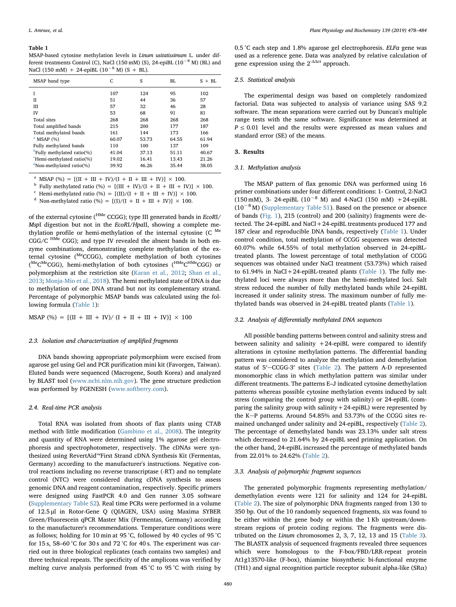#### <span id="page-2-0"></span>Table 1

MSAP-based cytosine methylation levels in Linum usitatissimum L. under different treatments Control (C), NaCl (150 mM) (S), 24-epiBL ( $10^{-8}$  M) (BL) and NaCl (150 mM) + 24-epiBL ( $10^{-8}$  M) (S + BL).

| MSAP band type                          | C     | S     | BI.   | $S + BI$ |
|-----------------------------------------|-------|-------|-------|----------|
|                                         | 107   | 124   | 95    | 102      |
| Н                                       | 51    | 44    | 36    | 57       |
| Ш                                       | 57    | 32    | 46    | 28       |
| IV                                      | 53    | 68    | 91    | 81       |
| Total sites                             | 268   | 268   | 268   | 268      |
| Total amplified bands                   | 215   | 200   | 177   | 187      |
| Total methylated bands                  | 161   | 144   | 173   | 166      |
| $^a$ MSAP $(%)$                         | 60.07 | 53.73 | 64.55 | 61.94    |
| Fully methylated bands                  | 110   | 100   | 137   | 109      |
| $\frac{b}{c}$ Fully methylated ratio(%) | 41.04 | 37.13 | 51.11 | 40.67    |
| ${}^{\rm c}$ Hemi-methylated ratio(%)   | 19.02 | 16.41 | 13.43 | 21.26    |
| $d$ Non-methylated ratio(%)             | 39.92 | 46.26 | 35.44 | 38.05    |
|                                         |       |       |       |          |

<span id="page-2-1"></span><sup>a</sup> MSAP (%) =  $[(II + III + IV)/(I + II + III + IV)] \times 100$ .

<span id="page-2-2"></span><sup>b</sup> Fully methylated ratio (%) = [(III + IV)/(I + II + III + IV)] × 100.

<span id="page-2-3"></span><sup>c</sup> Hemi-methylated ratio (%) =  $[(II)/(I + II + III + IV)] \times 100$ .

<span id="page-2-4"></span><sup>d</sup> Non-methylated ratio (%) = [(I)/(I + II + III + IV)] × 100.

of the external cytosine ( $H^{Me}$  CCGG); type III generated bands in *EcoRI*/ MspI digestion but not in the EcoRI/HpaII, showing a complete methylation profile or hemi-methylation of the internal cytosine (C Me  $CGG/C$   $^{HMe}$  CGG); and type IV revealed the absent bands in both enzyme combinations, demonstrating complete methylation of the external cytosine (MeCCGG), complete methylation of both cytosines (<sup>Me</sup>C<sup>Me</sup>CGG), hemi-methylation of both cytosines (<sup>HMe</sup>C<sup>HMe</sup>CGG) or polymorphism at the restriction site ([Karan et al., 2012](#page-5-1); [Shan et al.,](#page-5-4) [2013;](#page-5-4) [Monja-Mio et al., 2018](#page-5-18)). The hemi methylated state of DNA is due to methylation of one DNA strand but not its complementary strand. Percentage of polymorphic MSAP bands was calculated using the following formula ([Table 1](#page-2-0)):

MSAP (%) =  $[(II + III + IV)/(I + II + III + IV)] \times 100$ 

# 2.3. Isolation and characterization of amplified fragments

DNA bands showing appropriate polymorphism were excised from agarose gel using Gel and PCR purification mini kit (Favorgen, Taiwan). Eluted bands were sequenced (Macrogene, South Korea) and analyzed by BLAST tool ([www.ncbi.nlm.nih.gov](http://www.ncbi.nlm.nih.gov/)). The gene structure prediction was performed by FGENESH [\(www.softberry.com\)](http://www.softberry.com).

### 2.4. Real-time PCR analysis

Total RNA was isolated from shoots of flax plants using CTAB method with little modification ([Gambino et al., 2008\)](#page-5-19). The integrity and quantity of RNA were determined using 1% agarose gel electrophoresis and spectrophotometer, respectively. The cDNAs were synthesized using RevertAid™First Strand cDNA Synthesis Kit (Fermentas, Germany) according to the manufacturer's instructions. Negative control reactions including no reverse transcriptase (-RT) and no template control (NTC) were considered during cDNA synthesis to assess genomic DNA and reagent contamination, respectively. Specific primers were designed using FastPCR 4.0 and Gen runner 3.05 software (Supplementary Table S2). Real time PCRs were performed in a volume of 12.5 μl in Rotor-Gene Q (QIAGEN, USA) using Maxima SYBER Green/Fluorescein qPCR Master Mix (Fermentas, Germany) according to the manufacturer's recommendations. Temperature conditions were as follows; holding for 10 min at 95 °C, followed by 40 cycles of 95 °C for 15 s, 58–60 °C for 30 s and 72 °C for 40 s. The experiment was carried out in three biological replicates (each contains two samples) and three technical repeats. The specificity of the amplicons was verified by melting curve analysis performed from 45 °C to 95 °C with rising by

0.5 °C each step and 1.8% agarose gel electrophoresis. ELF $\alpha$  gene was used as a reference gene. Data was analyzed by relative calculation of gene expression using the  $2^{-\Delta\Delta ct}$  approach.

#### 2.5. Statistical analysis

The experimental design was based on completely randomized factorial. Data was subjected to analysis of variance using SAS 9.2 software. The mean separations were carried out by Duncan's multiple range tests with the same software. Significance was determined at  $P \leq 0.01$  level and the results were expressed as mean values and standard error (SE) of the means.

# 3. Results

#### 3.1. Methylation analysis

The MSAP pattern of flax genomic DNA was performed using 16 primer combinations under four different conditions: 1- Control, 2-NaCl (150 mM), 3- 24-epiBL ( $10^{-8}$  M) and 4-NaCl (150 mM) +24-epiBL (10−<sup>8</sup> M) (Supplementary Table S1). Based on the presence or absence of bands ([Fig. 1](#page-1-0)), 215 (control) and 200 (salinity) fragments were detected. The 24-epiBL and NaCl+24-epiBL treatments produced 177 and 187 clear and reproducible DNA bands, respectively ([Table 1\)](#page-2-0). Under control condition, total methylation of CCGG sequences was detected 60.07% while 64.55% of total methylation observed in 24-epiBLtreated plants. The lowest percentage of total methylation of CCGG sequences was obtained under NaCl treatment (53.73%) which raised to 61.94% in NaCl+24-epiBL-treated plants [\(Table 1\)](#page-2-0). The fully methylated loci were always more than the hemi-methylated loci. Salt stress reduced the number of fully methylated bands while 24-epiBL increased it under salinity stress. The maximum number of fully methylated bands was observed in 24-epiBL treated plants [\(Table 1\)](#page-2-0).

#### 3.2. Analysis of differentially methylated DNA sequences

All possible banding patterns between control and salinity stress and between salinity and salinity  $+24$ -epiBL were compared to identify alterations in cytosine methylation patterns. The differential banding pattern was considered to analyze the methylation and demethylation status of 5′-CCGG-3′ sites ([Table 2](#page-3-0)). The pattern A-D represented monomorphic class in which methylation pattern was similar under different treatments. The patterns E–J indicated cytosine demethylation patterns whereas possible cytosine methylation events induced by salt stress (comparing the control group with salinity) or 24-epiBL (comparing the salinity group with salinity+24-epiBL) were represented by the K-P patterns. Around 54.85% and 53.73% of the CCGG sites remained unchanged under salinity and 24-epiBL, respectively [\(Table 2](#page-3-0)). The percentage of demethylated bands was 23.13% under salt stress which decreased to 21.64% by 24-epiBL seed priming application. On the other hand, 24-epiBL increased the percentage of methylated bands from 22.01% to 24.62% [\(Table 2\)](#page-3-0).

#### 3.3. Analysis of polymorphic fragment sequences

The generated polymorphic fragments representing methylation/ demethylation events were 121 for salinity and 124 for 24-epiBL ([Table 2](#page-3-0)). The size of polymorphic DNA fragments ranged from 130 to 350 bp. Out of the 10 randomly sequenced fragments, six was found to be either within the gene body or within the 1 Kb upstream/downstream regions of protein coding regions. The fragments were distributed on the Linum chromosomes 2, 3, 7, 12, 13 and 15 [\(Table 3](#page-3-1)). The BLASTX analysis of sequenced fragments revealed three sequences which were homologous to the F-box/FBD/LRR-repeat protein At1g13570-like (F-box), thiamine biosynthetic bi-functional enzyme (TH1) and signal recognition particle receptor subunit alpha-like (SRα)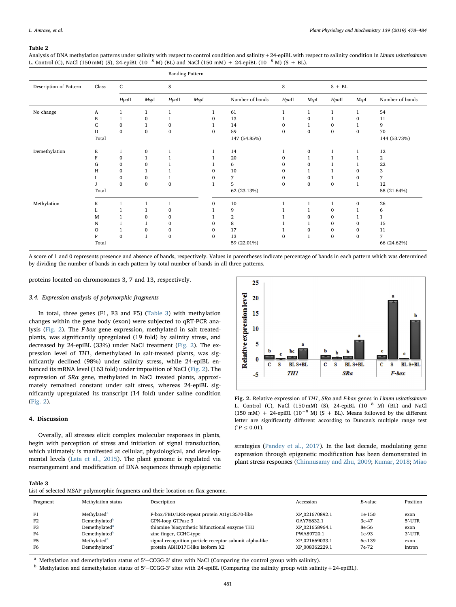#### <span id="page-3-0"></span>Table 2

Analysis of DNA methylation patterns under salinity with respect to control condition and salinity +24-epiBL with respect to salinity condition in Linum usitatissimum L. Control (C), NaCl (150 mM) (S), 24-epiBL (10<sup>-8</sup> M) (BL) and NaCl (150 mM) + 24-epiBL (10<sup>-8</sup> M) (S + BL).

|                        |         |              |              | <b>Banding Pattern</b> |      |              |                  |              |              |              |                  |                 |
|------------------------|---------|--------------|--------------|------------------------|------|--------------|------------------|--------------|--------------|--------------|------------------|-----------------|
| Description of Pattern | Class   | ${\bf C}$    |              | S                      |      |              |                  | S            |              | $S + BL$     |                  |                 |
|                        |         | HpaII        | MspI         | HpaII                  | MspI |              | Number of bands  | Hpall        | MspI         | HpaII        | MspI             | Number of bands |
| No change              | A       | 1            | 1            | $\mathbf{1}$           |      | $\mathbf{1}$ | 61               | $\mathbf{1}$ | $\mathbf{1}$ | $\mathbf{1}$ | 1                | 54              |
|                        | B       | 1            | $\mathbf{0}$ | $\mathbf{1}$           |      | $\mathbf{0}$ | 13               | 1            | $\mathbf{0}$ | 1            | $\mathbf{0}$     | 11              |
|                        | C       | $\mathbf{0}$ | 1            | 0                      |      | 1            | 14               | $\mathbf{0}$ | $\mathbf{1}$ | $\mathbf{0}$ | 1                | 9               |
|                        | D       | $\bf{0}$     | $\bf{0}$     | $\bf{0}$               |      | $\mathbf{0}$ | 59               | $\bf{0}$     | $\bf{0}$     | $\bf{0}$     | $\bf{0}$         | 70              |
|                        | Total   |              |              |                        |      |              | 147 (54.85%)     |              |              |              |                  | 144 (53.73%)    |
| Demethylation          | E       | $\mathbf{1}$ | $\bf{0}$     | $\mathbf{1}$           |      | $\mathbf{1}$ | 14               | $\mathbf{1}$ | $\bf{0}$     | $\mathbf{1}$ | $\mathbf{1}$     | 12              |
|                        | F       | $\bf{0}$     | 1            |                        |      |              | 20               | 0            | 1            | 1            | $\mathbf{1}$     | 2               |
|                        | G       | $\mathbf{0}$ | 0            |                        |      |              | 6                | $\mathbf{0}$ | $\mathbf{0}$ |              |                  | 22              |
|                        | H       | $\mathbf{0}$ |              |                        |      | $\Omega$     | 10               | $\mathbf{0}$ | $\mathbf{1}$ | 1            | 0                | 3               |
|                        |         | $\bf{0}$     | $\bf{0}$     | 1                      |      | 0            | 7                | 0            | $\bf{0}$     | 1            | 0                | 7               |
|                        | J       | $\mathbf{0}$ | $\mathbf{0}$ | $\bf{0}$               |      | $\mathbf{1}$ | 5                | $\mathbf{0}$ | $\mathbf{0}$ | $\bf{0}$     | $\mathbf{1}$     | 12              |
|                        | Total   |              |              |                        |      |              | 62 (23.13%)      |              |              |              |                  | 58 (21.64%)     |
| Methylation            | K       | $\mathbf{1}$ | $\mathbf{1}$ | $\mathbf{1}$           |      | $\mathbf{0}$ | 10               | $\mathbf{1}$ | $\mathbf{1}$ | $\mathbf{1}$ | $\boldsymbol{0}$ | 26              |
|                        | L       | 1            |              | 0                      |      |              | 9                |              |              | $\mathbf{0}$ |                  | 6               |
|                        | M       |              | 0            | 0                      |      |              | $\boldsymbol{2}$ |              | $\mathbf{0}$ | $\mathbf{0}$ |                  | $\mathbf{1}$    |
|                        | N       |              |              | $\mathbf{0}$           |      | $\Omega$     | 8                |              | $\mathbf{1}$ | $\mathbf{0}$ | $\mathbf{0}$     | 15              |
|                        | $\circ$ | 1            | $\mathbf{0}$ | 0                      |      | $\mathbf{0}$ | 17               | 1            | $\mathbf{0}$ | $\mathbf{0}$ | $\mathbf{0}$     | 11              |
|                        | P       | $\bf{0}$     | 1            | $\boldsymbol{0}$       |      | $\bf{0}$     | 13               | $\bf{0}$     | $\mathbf{1}$ | $\bf{0}$     | $\mathbf{0}$     | $\overline{7}$  |
|                        | Total   |              |              |                        |      |              | 59 (22.01%)      |              |              |              |                  | 66 (24.62%)     |

A score of 1 and 0 represents presence and absence of bands, respectively. Values in parentheses indicate percentage of bands in each pattern which was determined by dividing the number of bands in each pattern by total number of bands in all three patterns.

proteins located on chromosomes 3, 7 and 13, respectively.

#### 3.4. Expression analysis of polymorphic fragments

In total, three genes (F1, F3 and F5) ([Table 3](#page-3-1)) with methylation changes within the gene body (exon) were subjected to qRT-PCR analysis ([Fig. 2\)](#page-3-2). The F-box gene expression, methylated in salt treatedplants, was significantly upregulated (19 fold) by salinity stress, and decreased by 24-epiBL (33%) under NaCl treatment [\(Fig. 2](#page-3-2)). The expression level of TH1, demethylated in salt-treated plants, was significantly declined (98%) under salinity stress, while 24-epiBL enhanced its mRNA level (163 fold) under imposition of NaCl ([Fig. 2](#page-3-2)). The expression of SRα gene, methylated in NaCl treated plants, approximately remained constant under salt stress, whereas 24-epiBL significantly upregulated its transcript (14 fold) under saline condition ([Fig. 2\)](#page-3-2).

#### 4. Discussion

Overally, all stresses elicit complex molecular responses in plants, begin with perception of stress and initiation of signal transduction, which ultimately is manifested at cellular, physiological, and developmental levels [\(Lata et al., 2015](#page-5-20)). The plant genome is regulated via rearrangement and modification of DNA sequences through epigenetic

<span id="page-3-2"></span>

Fig. 2. Relative expression of TH1,  $SR\alpha$  and F-box genes in Linum usitatissimum L. Control (C), NaCl (150 mM) (S), 24-epiBL  $(10^{-8}$  M) (BL) and NaCl (150 mM) + 24-epiBL (10<sup>-8</sup> M) (S + BL). Means followed by the different letter are significantly different according to Duncan's multiple range test  $(P \le 0.01)$ .

strategies [\(Pandey et al., 2017\)](#page-5-7). In the last decade, modulating gene expression through epigenetic modification has been demonstrated in plant stress responses [\(Chinnusamy and Zhu, 2009;](#page-5-21) [Kumar, 2018](#page-5-22); [Miao](#page-5-23)

<span id="page-3-1"></span>Table 3

| List of selected MSAP polymorphic fragments and their location on flax genome. |  |
|--------------------------------------------------------------------------------|--|
|--------------------------------------------------------------------------------|--|

| Fragment       | Methylation status        | Description                                             | Accession      | E-value | Position  |
|----------------|---------------------------|---------------------------------------------------------|----------------|---------|-----------|
| F1             | Methylated <sup>a</sup>   | F-box/FBD/LRR-repeat protein At1g13570-like             | XP 021670892.1 | 1e-150  | exon      |
| F <sub>2</sub> | Demethylated <sup>b</sup> | GPN-loop GTPase 3                                       | OAY76832.1     | 3e-47   | 5'-UTR    |
| F3             | Demethylated <sup>a</sup> | thiamine biosynthetic bifunctional enzyme TH1           | XP 021658964.1 | 8e-56   | exon      |
| F4             | Demethylated <sup>b</sup> | zinc finger, CCHC-type                                  | PWA89720.1     | 1e-93   | $3'$ -UTR |
| F <sub>5</sub> | Methylated <sup>a</sup>   | signal recognition particle receptor subunit alpha-like | XP 021669033.1 | 6e-139  | exon      |
| F <sub>6</sub> | Demethylated <sup>a</sup> | protein ABHD17C-like isoform X2                         | XP 008362229.1 | 7e-72   | intron    |
|                |                           |                                                         |                |         |           |

<span id="page-3-3"></span><sup>a</sup> Methylation and demethylation status of 5′-CCGG-3′ sites with NaCl (Comparing the control group with salinity).

<span id="page-3-4"></span> $<sup>b</sup>$  Methylation and demethylation status of 5′–CCGG-3′ sites with 24-epiBL (Comparing the salinity group with salinity +24-epiBL).</sup>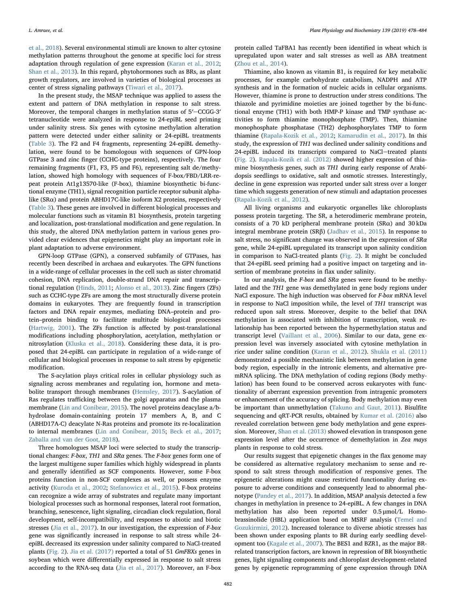[et al., 2018](#page-5-23)). Several environmental stimuli are known to alter cytosine methylation patterns throughout the genome at specific loci for stress adaptation through regulation of gene expression [\(Karan et al., 2012](#page-5-1); [Shan et al., 2013\)](#page-5-4). In this regard, phytohormones such as BRs, as plant growth regulators, are involved in varieties of biological processes as center of stress signaling pathways [\(Tiwari et al., 2017\)](#page-5-12).

In the present study, the MSAP technique was applied to assess the extent and pattern of DNA methylation in response to salt stress. Moreover, the temporal changes in methylation status of 5′-CCGG-3′ tetranucleotide were analyzed in response to 24-epiBL seed priming under salinity stress. Six genes with cytosine methylation alteration pattern were detected under either salinity or 24-epiBL treatments ([Table 3\)](#page-3-1). The F2 and F4 fragments, representing 24-epiBL demethylation, were found to be homologous with sequences of GPN-loop GTPase 3 and zinc finger (CCHC-type proteins), respectively. The four remaining fragments (F1, F3, F5 and F6), representing salt de/methylation, showed high homology with sequences of F-box/FBD/LRR-repeat protein At1g13570-like (F-box), thiamine biosynthetic bi-functional enzyme (TH1), signal recognition particle receptor subunit alphalike ( $S$ R $\alpha$ ) and protein ABHD17C-like isoform X2 proteins, respectively ([Table 3\)](#page-3-1). These genes are involved in different biological processes and molecular functions such as vitamin B1 biosynthesis, protein targeting and localization, post-translational modification and gene regulation. In this study, the altered DNA methylation pattern in various genes provided clear evidences that epigenetics might play an important role in plant adaptation to adverse environment.

GPN-loop GTPase (GPN), a conserved subfamily of GTPases, has recently been described in archaea and eukaryotes. The GPN functions in a wide-range of cellular processes in the cell such as sister chromatid cohesion, DNA replication, double-strand DNA repair and transcriptional regulation [\(Hinds, 2011;](#page-5-24) [Alonso et al., 2013](#page-5-25)). Zinc fingers (ZFs) such as CCHC-type ZFs are among the most structurally diverse protein domains in eukaryotes. They are frequently found in transcription factors and DNA repair enzymes, mediating DNA–protein and protein–protein binding to facilitate multitude biological processes ([Hartwig, 2001\)](#page-5-26). The ZFs function is affected by post-translational modifications including phosphorylation, acetylation, methylation or nitrosylation [\(Kluska et al., 2018\)](#page-5-27). Considering these data, it is proposed that 24-epiBL can participate in regulation of a wide-range of cellular and biological processes in response to salt stress by epigenetic modification.

The S-acylation plays critical roles in cellular physiology such as signaling across membranes and regulating ion, hormone and metabolite transport through membranes [\(Hemsley, 2017](#page-5-28)). S-acylation of Ras regulates trafficking between the golgi apparatus and the plasma membrane [\(Lin and Conibear, 2015\)](#page-5-29). The novel proteins deacylase a/bhydrolase domain-containing protein 17 members A, B, and C (ABHD17A-C) deacylate N-Ras proteins and promote its re-localization to internal membranes ([Lin and Conibear, 2015](#page-5-29); [Beck et al., 2017](#page-5-30); Zaballa [and van der Goot, 2018](#page-6-5)).

Three homologues MSAP loci were selected to study the transcriptional changes: F-box, TH1 and SRα genes. The F-box genes form one of the largest multigene super families which highly widespread in plants and generally identified as SCF components. However, some F-box proteins function in non-SCF complexes as well, or possess enzyme activity ([Kuroda et al., 2002;](#page-5-31) [Stefanowicz et al., 2015\)](#page-5-32). F-box proteins can recognize a wide array of substrates and regulate many important biological processes such as hormonal responses, lateral root formation, branching, senescence, light signaling, circadian clock regulation, floral development, self-incompatibility, and responses to abiotic and biotic stresses ([Jia et al., 2017\)](#page-5-33). In our investigation, the expression of F-box gene was significantly increased in response to salt stress while 24 epiBL decreased its expression under salinity compared to NaCl-treated plants [\(Fig. 2](#page-3-2)). [Jia et al. \(2017\)](#page-5-33) reported a total of 51 GmFBXs genes in soybean which were differentially expressed in response to salt stress according to the RNA-seq data ([Jia et al., 2017\)](#page-5-33). Moreover, an F-box

protein called TaFBA1 has recently been identified in wheat which is upregulated upon water and salt stresses as well as ABA treatment ([Zhou et al., 2014](#page-6-6)).

Thiamine, also known as vitamin B1, is required for key metabolic processes, for example carbohydrate catabolism, NADPH and ATP synthesis and in the formation of nucleic acids in cellular organisms. However, thiamine is prone to destruction under stress conditions. The thiazole and pyrimidine moieties are joined together by the bi-functional enzyme (TH1) with both HMP-P kinase and TMP synthase activities to form thiamine monophosphate (TMP). Then, thiamine monophosphate phosphatase (TH2) dephosphorylates TMP to form thiamine [\(Rapala-Kozik et al., 2012](#page-5-34); [Kamarudin et al., 2017\)](#page-5-35). In this study, the expression of TH1 was declined under salinity conditions and 24-epiBL induced its transcripts compared to NaCl-treated plants ([Fig. 2](#page-3-2)). [Rapala-Kozik et al. \(2012\)](#page-5-34) showed higher expression of thiamine biosynthesis genes, such as TH1 during early response of Arabidopsis seedlings to oxidative, salt and osmotic stresses. Interestingly, decline in gene expression was reported under salt stress over a longer time which suggests generation of new stimuli and adaptation processes ([Rapala-Kozik et al., 2012\)](#page-5-34).

All living organisms and eukaryotic organelles like chloroplasts possess protein targeting. The SR, a heterodimeric membrane protein, consists of a 70 kD peripheral membrane protein (SR $\alpha$ ) and 30 kDa integral membrane protein (SRβ) ([Jadhav et al., 2015\)](#page-5-36). In response to salt stress, no significant change was observed in the expression of SRα gene, while 24-epiBL upregulated its transcript upon salinity condition in comparison to NaCl-treated plants [\(Fig. 2](#page-3-2)). It might be concluded that 24-epiBL seed priming had a positive impact on targeting and insertion of membrane proteins in flax under salinity.

In our analysis, the  $F$ -box and  $S R a$  genes were found to be methylated and the TH1 gene was demethylated in gene body regions under NaCl exposure. The high induction was observed for F-box mRNA level in response to NaCl imposition while, the level of TH1 transcript was reduced upon salt stress. Moreover, despite to the belief that DNA methylation is associated with inhibition of transcription, weak relationship has been reported between the hypermethylation status and transcript level ([Vaillant et al., 2006\)](#page-6-7). Similar to our data, gene expression level was inversely associated with cytosine methylation in rice under saline condition [\(Karan et al., 2012](#page-5-1)). [Shukla et al. \(2011\)](#page-5-37) demonstrated a possible mechanistic link between methylation in gene body region, especially in the intronic elements, and alternative premRNA splicing. The DNA methylation of coding regions (Body methylation) has been found to be conserved across eukaryotes with functionality of aberrant expression prevention from intragenic promoters or enhancement of the accuracy of splicing. Body methylation may even be important than unmethylation ([Takuno and Gaut, 2011](#page-5-38)). Bisulfite sequencing and qRT-PCR results, obtained by [Kumar et al. \(2016\)](#page-5-39) also revealed correlation between gene body methylation and gene expression. Moreover, [Shan et al. \(2013\)](#page-5-4) showed elevation in transposon gene expression level after the occurrence of demethylation in Zea mays plants in response to cold stress.

Our results suggest that epigenetic changes in the flax genome may be considered as alternative regulatory mechanism to sense and respond to salt stress through modification of responsive genes. The epigenetic alterations might cause restricted functionality during exposure to adverse conditions and consequently lead to abnormal phenotype ([Pandey et al., 2017](#page-5-7)). In addition, MSAP analysis detected a few changes in methylation in presence to 24-epiBL. A few changes in DNA methylation has also been reported under 0.5 μmol/L Homobrassinolide (HBL) application based on MSRF analysis ([Temel and](#page-5-40) [Gozukirmizi, 2012\)](#page-5-40). Increased tolerance to diverse abiotic stresses has been shown under exposing plants to BR during early seedling development too [\(Kagale et al., 2007\)](#page-5-41). The BES1 and BZR1, as the major BRrelated transcription factors, are known in repression of BR biosynthetic genes, light signaling components and chloroplast development-related genes by epigenetic reprogramming of gene expression through DNA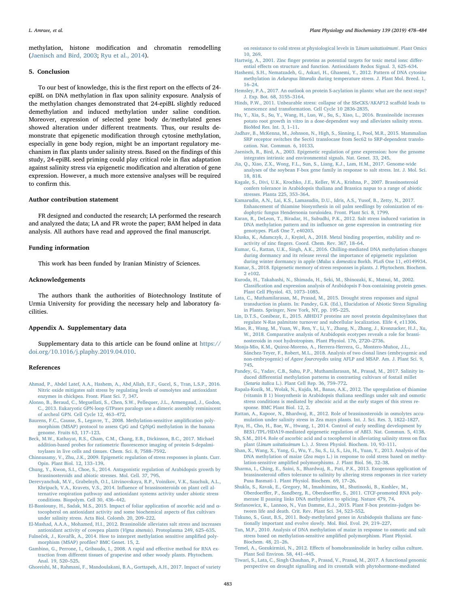methylation, histone modification and chromatin remodelling ([Jaenisch and Bird, 2003;](#page-5-42) [Ryu et al., 2014](#page-5-43)).

# 5. Conclusion

To our best of knowledge, this is the first report on the effects of 24 epiBL on DNA methylation in flax upon salinity exposure. Analysis of the methylation changes demonstrated that 24-epiBL slightly reduced demethylation and induced methylation under saline condition. Moreover, expression of selected gene body de/methylated genes showed alteration under different treatments. Thus, our results demonstrate that epigenetic modification through cytosine methylation, especially in gene body region, might be an important regulatory mechanism in flax plants under salinity stress. Based on the findings of this study, 24-epiBL seed priming could play critical role in flax adaptation against salinity stress via epigenetic modification and alteration of gene expression. However, a much more extensive analyses will be required to confirm this.

#### Author contribution statement

FR designed and conducted the research; LA performed the research and analyzed the data; LA and FR wrote the paper; BAM helped in data analysis. All authors have read and approved the final manuscript.

#### Funding information

This work has been funded by Iranian Ministry of Sciences.

# Acknowledgements

The authors thank the authorities of Biotechnology Institute of Urmia University for providing the necessary help and laboratory facilities.

# Appendix A. Supplementary data

Supplementary data to this article can be found online at [https://](https://doi.org/10.1016/j.plaphy.2019.04.010) [doi.org/10.1016/j.plaphy.2019.04.010](https://doi.org/10.1016/j.plaphy.2019.04.010).

#### References

- <span id="page-5-10"></span>[Ahmad, P., Abdel Latef, A.A., Hashem, A., Abd\\_Allah, E.F., Gucel, S., Tran, L.S.P., 2016.](http://refhub.elsevier.com/S0981-9428(19)30144-5/sref1) [Nitric oxide mitigates salt stress by regulating levels of osmolytes and antioxidant](http://refhub.elsevier.com/S0981-9428(19)30144-5/sref1) [enzymes in chickpea. Front. Plant Sci. 7, 347.](http://refhub.elsevier.com/S0981-9428(19)30144-5/sref1)
- <span id="page-5-25"></span>[Alonso, B., Beraud, C., Meguellati, S., Chen, S.W., Pellequer, J.L., Armengaud, J., Godon,](http://refhub.elsevier.com/S0981-9428(19)30144-5/sref2) [C., 2013. Eukaryotic GPN-loop GTPases paralogs use a dimeric assembly reminiscent](http://refhub.elsevier.com/S0981-9428(19)30144-5/sref2) [of archeal GPN. Cell Cycle 12, 463](http://refhub.elsevier.com/S0981-9428(19)30144-5/sref2)–472.
- <span id="page-5-17"></span>[Baurens, F.C., Causse, S., Legavre, T., 2008. Methylation-sensitive ampli](http://refhub.elsevier.com/S0981-9428(19)30144-5/sref3)fication poly[morphism \(MSAP\) protocol to assess CpG and CpNpG methylation in the banana](http://refhub.elsevier.com/S0981-9428(19)30144-5/sref3) [genome. Fruits 63, 117](http://refhub.elsevier.com/S0981-9428(19)30144-5/sref3)–123.
- <span id="page-5-30"></span>[Beck, M.W., Kathayat, R.S., Cham, C.M., Chang, E.B., Dickinson, B.C., 2017. Michael](http://refhub.elsevier.com/S0981-9428(19)30144-5/sref4) addition-based probes for ratiometric fl[uorescence imaging of protein S-depalmi](http://refhub.elsevier.com/S0981-9428(19)30144-5/sref4)[toylases in live cells and tissues. Chem. Sci. 8, 7588](http://refhub.elsevier.com/S0981-9428(19)30144-5/sref4)–7592.
- <span id="page-5-21"></span>[Chinnusamy, V., Zhu, J.K., 2009. Epigenetic regulation of stress responses in plants. Curr.](http://refhub.elsevier.com/S0981-9428(19)30144-5/sref5) [Opin. Plant Biol. 12, 133](http://refhub.elsevier.com/S0981-9428(19)30144-5/sref5)–139.
- <span id="page-5-6"></span>[Chung, Y., Kwon, S.I., Choe, S., 2014. Antagonistic regulation of Arabidopsis growth by](http://refhub.elsevier.com/S0981-9428(19)30144-5/sref6) [brassinosteroids and abiotic stresses. Mol. Cell. 37, 795](http://refhub.elsevier.com/S0981-9428(19)30144-5/sref6).
- <span id="page-5-16"></span>[Derevyanchuk, M.V., Grabelnyh, O.I., Litvinovskaya, R.P., Voinikov, V.K., Sauchuk, A.L.,](http://refhub.elsevier.com/S0981-9428(19)30144-5/sref7) Khripach, V.A., Kravets, V.S., 2014. Infl[uence of brassinosteroids on plant cell al](http://refhub.elsevier.com/S0981-9428(19)30144-5/sref7)[ternative respiration pathway and antioxidant systems activity under abiotic stress](http://refhub.elsevier.com/S0981-9428(19)30144-5/sref7) [conditions. Biopolym. Cell 30, 436](http://refhub.elsevier.com/S0981-9428(19)30144-5/sref7)–442.
- <span id="page-5-8"></span>[El-Bassiouny, H., Sadak, M.S., 2015. Impact of foliar application of ascorbic acid and](http://refhub.elsevier.com/S0981-9428(19)30144-5/sref8) α[tocopherol on antioxidant activity and some biochemical aspects of](http://refhub.elsevier.com/S0981-9428(19)30144-5/sref8) flax cultivars [under salinity stress. Acta Biol. Colomb. 20, 209](http://refhub.elsevier.com/S0981-9428(19)30144-5/sref8)–222.
- <span id="page-5-13"></span>[El-Mashad, A.A.A., Mohamed, H.I., 2012. Brassinolide alleviates salt stress and increases](http://refhub.elsevier.com/S0981-9428(19)30144-5/sref9) [antioxidant activity of cowpea plants \(](http://refhub.elsevier.com/S0981-9428(19)30144-5/sref9)Vigna sinensis). Protoplasma 249, 625–635.
- <span id="page-5-3"></span>Fulneček, J., Kovař[ík, A., 2014. How to interpret methylation sensitive ampli](http://refhub.elsevier.com/S0981-9428(19)30144-5/sref10)fied poly[morphism \(MSAP\) pro](http://refhub.elsevier.com/S0981-9428(19)30144-5/sref10)files? BMC Genet. 15, 2.
- <span id="page-5-19"></span>[Gambino, G., Perrone, I., Gribaudo, I., 2008. A rapid and e](http://refhub.elsevier.com/S0981-9428(19)30144-5/sref11)ffective method for RNA extraction from diff[erent tissues of grapevine and other woody plants. Phytochem.](http://refhub.elsevier.com/S0981-9428(19)30144-5/sref11) [Anal. 19, 520](http://refhub.elsevier.com/S0981-9428(19)30144-5/sref11)–525.

<span id="page-5-14"></span>[Ghoreishi, M., Rahmani, F., Mandoulakani, B.A., Gorttapeh, A.H., 2017. Impact of variety](http://refhub.elsevier.com/S0981-9428(19)30144-5/sref12)

[on resistance to cold stress at physiological levels in](http://refhub.elsevier.com/S0981-9428(19)30144-5/sref12) 'Linum usitatissimum'. Plant Omics [10, 269](http://refhub.elsevier.com/S0981-9428(19)30144-5/sref12).

- <span id="page-5-26"></span>Hartwig, A., 2001. Zinc fi[nger proteins as potential targets for toxic metal ions: di](http://refhub.elsevier.com/S0981-9428(19)30144-5/sref13)fferential eff[ects on structure and function. Antioxidants Redox Signal. 3, 625](http://refhub.elsevier.com/S0981-9428(19)30144-5/sref13)–634.
- <span id="page-5-0"></span>[Hashemi, S.H., Nematzadeh, G., Askari, H., Ghasemi, Y., 2012. Pattern of DNA cytosine](http://refhub.elsevier.com/S0981-9428(19)30144-5/sref14) methylation in Aeluropus littoralis [during temperature stress. J. Plant Mol. Breed. 1,](http://refhub.elsevier.com/S0981-9428(19)30144-5/sref14) 16–[24](http://refhub.elsevier.com/S0981-9428(19)30144-5/sref14).
- <span id="page-5-28"></span>Hemsley, [P.A., 2017. An outlook on protein S-acylation in plants: what are the next steps?](http://refhub.elsevier.com/S0981-9428(19)30144-5/sref15) [J. Exp. Bot. 68, 3155](http://refhub.elsevier.com/S0981-9428(19)30144-5/sref15)–3164.
- <span id="page-5-24"></span>[Hinds, P.W., 2011. Unbearable stress: collapse of the SSeCKS/AKAP12 sca](http://refhub.elsevier.com/S0981-9428(19)30144-5/sref16)ffold leads to [senescence and transformation. Cell Cycle 10 2836-2835](http://refhub.elsevier.com/S0981-9428(19)30144-5/sref16)
- <span id="page-5-11"></span>[Hu, Y., Xia, S., Su, Y., Wang, H., Luo, W., Su, S., Xiao, L., 2016. Brassinolide increases](http://refhub.elsevier.com/S0981-9428(19)30144-5/sref17) [potato root growth in vitro in a dose-dependent way and alleviates salinity stress.](http://refhub.elsevier.com/S0981-9428(19)30144-5/sref17) [BioMed Res. Int. 3, 1](http://refhub.elsevier.com/S0981-9428(19)30144-5/sref17)–11.
- <span id="page-5-36"></span>[Jadhav, B., McKenna, M., Johnson, N., High, S., Sinning, I., Pool, M.R., 2015. Mammalian](http://refhub.elsevier.com/S0981-9428(19)30144-5/sref18) [SRP receptor switches the Sec61 translocase from Sec62 to SRP-dependent translo](http://refhub.elsevier.com/S0981-9428(19)30144-5/sref18)[cation. Nat. Commun. 6, 10133.](http://refhub.elsevier.com/S0981-9428(19)30144-5/sref18)
- <span id="page-5-42"></span>[Jaenisch, R., Bird, A., 2003. Epigenetic regulation of gene expression: how the genome](http://refhub.elsevier.com/S0981-9428(19)30144-5/sref19) [integrates intrinsic and environmental signals. Nat. Genet. 33, 245.](http://refhub.elsevier.com/S0981-9428(19)30144-5/sref19)
- <span id="page-5-33"></span>[Jia, Q., Xiao, Z.X., Wong, F.L., Sun, S., Liang, K.J., Lam, H.M., 2017. Genome-wide](http://refhub.elsevier.com/S0981-9428(19)30144-5/sref21) [analyses of the soybean F-box gene family in response to salt stress. Int. J. Mol. Sci.](http://refhub.elsevier.com/S0981-9428(19)30144-5/sref21) [18, 818](http://refhub.elsevier.com/S0981-9428(19)30144-5/sref21).
- <span id="page-5-41"></span>[Kagale, S., Divi, U.K., Krochko, J.E., Keller, W.A., Krishna, P., 2007. Brassinosteroid](http://refhub.elsevier.com/S0981-9428(19)30144-5/sref22) [confers tolerance in Arabidopsis thaliana and Brassica napus to a range of abiotic](http://refhub.elsevier.com/S0981-9428(19)30144-5/sref22) [stresses. Planta 225, 353](http://refhub.elsevier.com/S0981-9428(19)30144-5/sref22)–364.
- <span id="page-5-35"></span>[Kamarudin, A.N., Lai, K.S., Lamasudin, D.U., Idris, A.S., Yusof, B., Zetty, N., 2017.](http://refhub.elsevier.com/S0981-9428(19)30144-5/sref23) [Enhancement of thiamine biosynthesis in oil palm seedlings by colonization of en](http://refhub.elsevier.com/S0981-9428(19)30144-5/sref23)[dophytic fungus Hendersonia toruloidea. Front. Plant Sci. 8, 1799.](http://refhub.elsevier.com/S0981-9428(19)30144-5/sref23)
- <span id="page-5-1"></span>[Karan, R., DeLeon, T., Biradar, H., Subudhi, P.K., 2012. Salt stress induced variation in](http://refhub.elsevier.com/S0981-9428(19)30144-5/sref24) DNA methylation pattern and its infl[uence on gene expression in contrasting rice](http://refhub.elsevier.com/S0981-9428(19)30144-5/sref24) [genotypes. PLoS One 7, e40203.](http://refhub.elsevier.com/S0981-9428(19)30144-5/sref24)
- <span id="page-5-27"></span>Kluska, K., Adamczyk, J., Kręż[el, A., 2018. Metal binding properties, stability and re](http://refhub.elsevier.com/S0981-9428(19)30144-5/sref25)activity of zinc fi[ngers. Coord. Chem. Rev. 367, 18](http://refhub.elsevier.com/S0981-9428(19)30144-5/sref25)–64.
- <span id="page-5-39"></span>[Kumar, G., Rattan, U.K., Singh, A.K., 2016. Chilling-mediated DNA methylation changes](http://refhub.elsevier.com/S0981-9428(19)30144-5/sref26) [during dormancy and its release reveal the importance of epigenetic regulation](http://refhub.elsevier.com/S0981-9428(19)30144-5/sref26) [during winter dormancy in apple \(](http://refhub.elsevier.com/S0981-9428(19)30144-5/sref26)Malus x domestica Borkh. PLoS One 11, e0149934.
- <span id="page-5-22"></span>[Kumar, S., 2018. Epigenetic memory of stress responses in plants. J. Phytochem. Biochem.](http://refhub.elsevier.com/S0981-9428(19)30144-5/sref27) [2 e102](http://refhub.elsevier.com/S0981-9428(19)30144-5/sref27).
- <span id="page-5-31"></span>[Kuroda, H., Takahashi, N., Shimada, H., Seki, M., Shinozaki, K., Matsui, M., 2002.](http://refhub.elsevier.com/S0981-9428(19)30144-5/sref28) Classifi[cation and expression analysis of Arabidopsis F-box-containing protein genes.](http://refhub.elsevier.com/S0981-9428(19)30144-5/sref28) [Plant Cell Physiol. 43, 1073](http://refhub.elsevier.com/S0981-9428(19)30144-5/sref28)–1085.
- <span id="page-5-20"></span>[Lata, C., Muthamilarasan, M., Prasad, M., 2015. Drought stress responses and signal](http://refhub.elsevier.com/S0981-9428(19)30144-5/sref29) [transduction in plants. In: Pandey, G.K. \(Ed.\), Elucidation of Abiotic Stress Signaling](http://refhub.elsevier.com/S0981-9428(19)30144-5/sref29) [in Plants. Springer, New York, NY, pp. 195](http://refhub.elsevier.com/S0981-9428(19)30144-5/sref29)–225.
- <span id="page-5-29"></span>[Lin, D.T.S., Conibear, E., 2015. ABHD17 proteins are novel protein depalmitoylases that](http://refhub.elsevier.com/S0981-9428(19)30144-5/sref30) [regulate N-Ras palmitate turnover and subcellular localization. Elife 4, e11306](http://refhub.elsevier.com/S0981-9428(19)30144-5/sref30).
- <span id="page-5-23"></span>[Miao, R., Wang, M., Yuan, W., Ren, Y., Li, Y., Zhang, N., Zhang, J., Kronzucker, H.J., Xu,](http://refhub.elsevier.com/S0981-9428(19)30144-5/sref31) [W., 2018. Comparative analysis of Arabidopsis ecotypes reveals a role for brassi](http://refhub.elsevier.com/S0981-9428(19)30144-5/sref31)[nosteroids in root hydrotropism. Plant Physiol. 176, 2720](http://refhub.elsevier.com/S0981-9428(19)30144-5/sref31)–2736.
- <span id="page-5-18"></span>[Monja-Mio, K.M., Quiroz-Moreno, A., Herrera-Herrera, G., Montero-Muñoz, J.L.,](http://refhub.elsevier.com/S0981-9428(19)30144-5/sref32) [Sánchez-Teyer, F., Robert, M.L., 2018. Analysis of two clonal lines \(embryogenic and](http://refhub.elsevier.com/S0981-9428(19)30144-5/sref32) non-embryogenic) of Agave fourcroydes [using AFLP and MSAP. Am. J. Plant Sci. 9,](http://refhub.elsevier.com/S0981-9428(19)30144-5/sref32) [745](http://refhub.elsevier.com/S0981-9428(19)30144-5/sref32).
- <span id="page-5-7"></span>[Pandey, G., Yadav, C.B., Sahu, P.P., Muthamilarasan, M., Prasad, M., 2017. Salinity in](http://refhub.elsevier.com/S0981-9428(19)30144-5/sref33)duced diff[erential methylation patterns in contrasting cultivars of foxtail millet](http://refhub.elsevier.com/S0981-9428(19)30144-5/sref33) (Setaria italica L.). [Plant Cell Rep. 36, 759](http://refhub.elsevier.com/S0981-9428(19)30144-5/sref33)–772.
- <span id="page-5-34"></span>[Rapala-Kozik, M., Wolak, N., Kujda, M., Banas, A.K., 2012. The upregulation of thiamine](http://refhub.elsevier.com/S0981-9428(19)30144-5/sref34) [\(vitamin B 1\) biosynthesis in Arabidopsis thaliana seedlings under salt and osmotic](http://refhub.elsevier.com/S0981-9428(19)30144-5/sref34) [stress conditions is mediated by abscisic acid at the early stages of this stress re](http://refhub.elsevier.com/S0981-9428(19)30144-5/sref34)[sponse. BMC Plant Biol. 12, 2](http://refhub.elsevier.com/S0981-9428(19)30144-5/sref34).
- <span id="page-5-5"></span>[Rattan, A., Kapoor, N., Bhardwaj, R., 2012. Role of brassinosteroids in osmolytes accu](http://refhub.elsevier.com/S0981-9428(19)30144-5/sref35)[mulation under salinity stress in Zea mays plants. Int. J. Sci. Res. 3, 1822](http://refhub.elsevier.com/S0981-9428(19)30144-5/sref35)–1827.
- <span id="page-5-43"></span>[Ryu, H., Cho, H., Bae, W., Hwang, I., 2014. Control of early seedling development by](http://refhub.elsevier.com/S0981-9428(19)30144-5/sref36) [BES1/TPL/HDA19-mediated epigenetic regulation of ABI3. Nat. Commun. 5, 4138.](http://refhub.elsevier.com/S0981-9428(19)30144-5/sref36)
- <span id="page-5-9"></span>Sh, S.M., 2014. Role of ascorbic acid and α [tocopherol in alleviating salinity stress on](http://refhub.elsevier.com/S0981-9428(19)30144-5/sref37) flax plant (Linum usitatissimum [L.\). J. Stress Physiol. Biochem. 10, 93](http://refhub.elsevier.com/S0981-9428(19)30144-5/sref37)–111.
- <span id="page-5-4"></span>[Shan, X., Wang, X., Yang, G., Wu, Y., Su, S., Li, S., Liu, H., Yuan, Y., 2013. Analysis of the](http://refhub.elsevier.com/S0981-9428(19)30144-5/sref38) DNA methylation of maize (Zea mays [L.\) in response to cold stress based on methy](http://refhub.elsevier.com/S0981-9428(19)30144-5/sref38)lation-sensitive amplifi[ed polymorphisms. J. Plant Biol. 56, 32](http://refhub.elsevier.com/S0981-9428(19)30144-5/sref38)–38.
- <span id="page-5-15"></span>[Sharma, I., Ching, E., Saini, S., Bhardwaj, R., Pati, P.K., 2013. Exogenous application of](http://refhub.elsevier.com/S0981-9428(19)30144-5/sref39) brassinosteroid off[ers tolerance to salinity by altering stress responses in rice variety](http://refhub.elsevier.com/S0981-9428(19)30144-5/sref39) [Pusa Basmati-1. Plant Physiol. Biochem. 69, 17](http://refhub.elsevier.com/S0981-9428(19)30144-5/sref39)–26.
- <span id="page-5-37"></span>[Shukla, S., Kavak, E., Gregory, M., Imashimizu, M., Shutinoski, B., Kashlev, M.,](http://refhub.elsevier.com/S0981-9428(19)30144-5/sref40) Oberdoerffer, P., Sandberg, R., Oberdoerff[er, S., 2011. CTCF-promoted RNA poly](http://refhub.elsevier.com/S0981-9428(19)30144-5/sref40)[merase II pausing links DNA methylation to splicing. Nature 479, 74.](http://refhub.elsevier.com/S0981-9428(19)30144-5/sref40)
- <span id="page-5-32"></span>[Stefanowicz, K., Lannoo, N., Van Damme, E.J., 2015. Plant F-box proteins](http://refhub.elsevier.com/S0981-9428(19)30144-5/sref41)–judges be[tween life and death. Crit. Rev. Plant Sci. 34, 523](http://refhub.elsevier.com/S0981-9428(19)30144-5/sref41)–552.
- <span id="page-5-38"></span>[Takuno, S., Gaut, B.S., 2011. Body-methylated genes in Arabidopsis thaliana are func](http://refhub.elsevier.com/S0981-9428(19)30144-5/sref42)[tionally important and evolve slowly. Mol. Biol. Evol. 29, 219](http://refhub.elsevier.com/S0981-9428(19)30144-5/sref42)–227.
- <span id="page-5-2"></span>[Tan, M.P., 2010. Analysis of DNA methylation of maize in response to osmotic and salt](http://refhub.elsevier.com/S0981-9428(19)30144-5/sref43) [stress based on methylation-sensitive ampli](http://refhub.elsevier.com/S0981-9428(19)30144-5/sref43)fied polymorphism. Plant Physiol. [Biochem. 48, 21](http://refhub.elsevier.com/S0981-9428(19)30144-5/sref43)–26.
- <span id="page-5-40"></span>Temel, A., Gozukirmizi, N., 2012. Eff[ects of homobrassinolide in barley callus culture.](http://refhub.elsevier.com/S0981-9428(19)30144-5/sref44) [Plant Soil Environ. 58, 441](http://refhub.elsevier.com/S0981-9428(19)30144-5/sref44)–445.
- <span id="page-5-12"></span>[Tiwari, S., Lata, C., Singh Chauhan, P., Prasad, V., Prasad, M., 2017. A functional genomic](http://refhub.elsevier.com/S0981-9428(19)30144-5/sref45) [perspective on drought signalling and its crosstalk with phytohormone-mediated](http://refhub.elsevier.com/S0981-9428(19)30144-5/sref45)